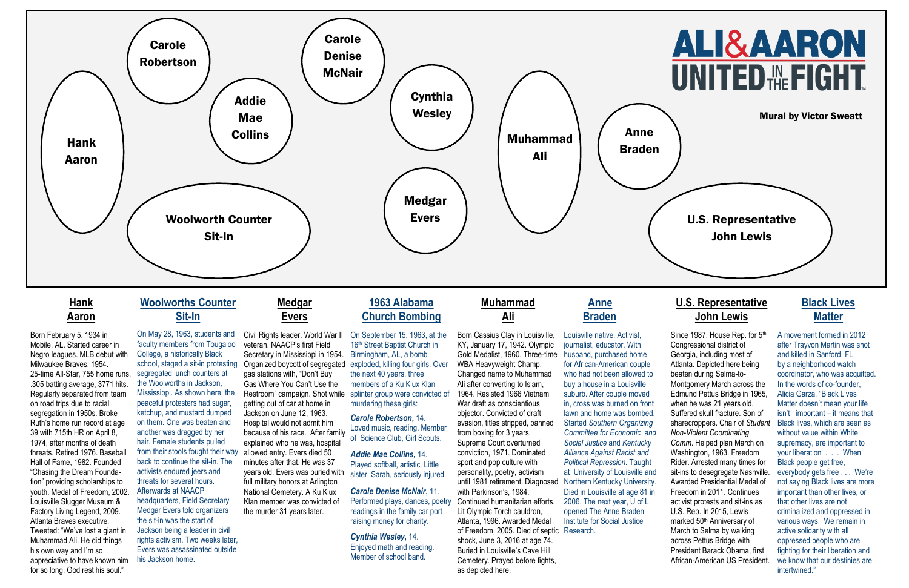

## **Hank Aaron**

Born February 5, 1934 in Mobile, AL. Started career in Negro leagues. MLB debut with Milwaukee Braves, 1954. 25-time All-Star, 755 home runs, .305 batting average, 3771 hits. Regularly separated from team on road trips due to racial segregation in 1950s. Broke Ruth's home run record at age 39 with 715th HR on April 8, 1974, after months of death threats. Retired 1976. Baseball Hall of Fame, 1982. Founded "Chasing the Dream Foundation" providing scholarships to youth. Medal of Freedom, 2002. Louisville Slugger Museum & Factory Living Legend, 2009. Atlanta Braves executive. Tweeted: "We've lost a giant in Muhammad Ali. He did things his own way and I'm so appreciative to have known him his Jackson home. for so long. God rest his soul."

### **Woolworths Counter Sit-In**

On May 28, 1963, students and faculty members from Tougaloo College, a historically Black school, staged a sit-in protesting segregated lunch counters at the Woolworths in Jackson, Mississippi. As shown here, the peaceful protesters had sugar, ketchup, and mustard dumped on them. One was beaten and another was dragged by her hair. Female students pulled from their stools fought their way back to continue the sit-in. The activists endured jeers and threats for several hours. Afterwards at NAACP headquarters, Field Secretary Medgar Evers told organizers the sit-in was the start of Jackson being a leader in civil rights activism. Two weeks later, Evers was assassinated outside

## **Medgar Evers**

Civil Rights leader. World War II veteran. NAACP's first Field Secretary in Mississippi in 1954. Organized boycott of segregated gas stations with, "Don't Buy Gas Where You Can't Use the Restroom" campaign. Shot while getting out of car at home in Jackson on June 12, 1963. Hospital would not admit him because of his race. After family explained who he was, hospital allowed entry. Evers died 50 minutes after that. He was 37 years old. Evers was buried with full military honors at Arlington National Cemetery. A Ku Klux Klan member was convicted of the murder 31 years later.

### **1963 Alabama Church Bombing**

On September 15, 1963, at the 16<sup>th</sup> Street Baptist Church in Birmingham, AL, a bomb exploded, killing four girls. Over the next 40 years, three members of a Ku Klux Klan splinter group were convicted of murdering these girls:

Since 1987, House Rep. for 5<sup>th</sup> Congressional district of Georgia, including most of Atlanta. Depicted here being beaten during Selma-to-Montgomery March across the Edmund Pettus Bridge in 1965, when he was 21 years old. Suffered skull fracture. Son of sharecroppers. Chair of *Student Non-Violent Coordinating Comm*. Helped plan March on Washington, 1963. Freedom Rider. Arrested many times for sit-ins to desegregate Nashville. Awarded Presidential Medal of Freedom in 2011. Continues activist protests and sit-ins as U.S. Rep. In 2015, Lewis marked 50th Anniversary of March to Selma by walking across Pettus Bridge with President Barack Obama, first African-American US President.

*Carole Robertson***,** 14. Loved music, reading. Member of Science Club, Girl Scouts.

*Addie Mae Collins,* 14. Played softball, artistic. Little sister, Sarah, seriously injured.

*Carole Denise McNair***,** 11. Performed plays, dances, poetry readings in the family car port raising money for charity.

### *Cynthia Wesley***,** 14.

Enjoyed math and reading. Member of school band.

### **Muhammad Ali**

Born Cassius Clay in Louisville, KY, January 17, 1942. Olympic Gold Medalist, 1960. Three-time WBA Heavyweight Champ. Changed name to Muhammad Ali after converting to Islam, 1964. Resisted 1966 Vietnam War draft as conscientious objector. Convicted of draft evasion, titles stripped, banned from boxing for 3 years. Supreme Court overturned conviction, 1971. Dominated sport and pop culture with personality, poetry, activism until 1981 retirement. Diagnosed Northern Kentucky University. with Parkinson's, 1984. Continued humanitarian efforts. Lit Olympic Torch cauldron, Atlanta, 1996. Awarded Medal of Freedom, 2005. Died of septic Research. shock, June 3, 2016 at age 74. Buried in Louisville's Cave Hill Cemetery. Prayed before fights, as depicted here.

# **Anne Braden**

Louisville native. Activist, journalist, educator. With husband, purchased home for African-American couple who had not been allowed to buy a house in a Louisville suburb. After couple moved in, cross was burned on front lawn and home was bombed. Started *Southern Organizing Committee for Economic and Social Justice* and *Kentucky Alliance Against Racist and Political Repression*. Taught at University of Louisville and Died in Louisville at age 81 in 2006. The next year, U of L opened The Anne Braden Institute for Social Justice

### **U.S. Representative John Lewis**

## **Black Lives Matter**

A movement formed in 2012 after Trayvon Martin was shot and killed in Sanford, FL by a neighborhood watch coordinator, who was acquitted. In the words of co-founder, Alicia Garza, "Black Lives Matter doesn't mean your life isn't important – it means that Black lives, which are seen as without value within White supremacy, are important to your liberation . . . When Black people get free, everybody gets free . . . We're not saying Black lives are more important than other lives, or that other lives are not criminalized and oppressed in various ways. We remain in active solidarity with all oppressed people who are fighting for their liberation and we know that our destinies are intertwined."